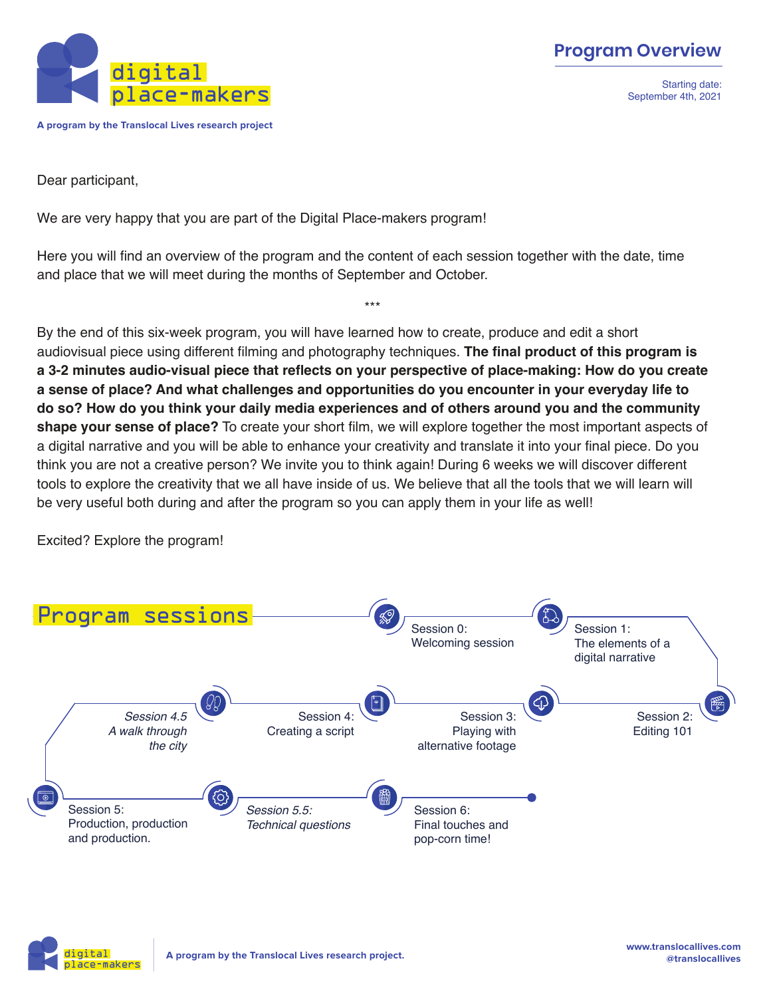

**A program by the Translocal Lives research project**

Starting date: September 4th, 2021

Dear participant,

We are very happy that you are part of the Digital Place-makers program!

Here you will find an overview of the program and the content of each session together with the date, time and place that we will meet during the months of September and October.

\*\*\*

By the end of this six-week program, you will have learned how to create, produce and edit a short audiovisual piece using different filming and photography techniques. **The final product of this program is a 3-2 minutes audio-visual piece that reflects on your perspective of place-making: How do you create a sense of place? And what challenges and opportunities do you encounter in your everyday life to do so? How do you think your daily media experiences and of others around you and the community shape your sense of place?** To create your short film, we will explore together the most important aspects of a digital narrative and you will be able to enhance your creativity and translate it into your final piece. Do you think you are not a creative person? We invite you to think again! During 6 weeks we will discover different tools to explore the creativity that we all have inside of us. We believe that all the tools that we will learn will be very useful both during and after the program so you can apply them in your life as well!

Excited? Explore the program!

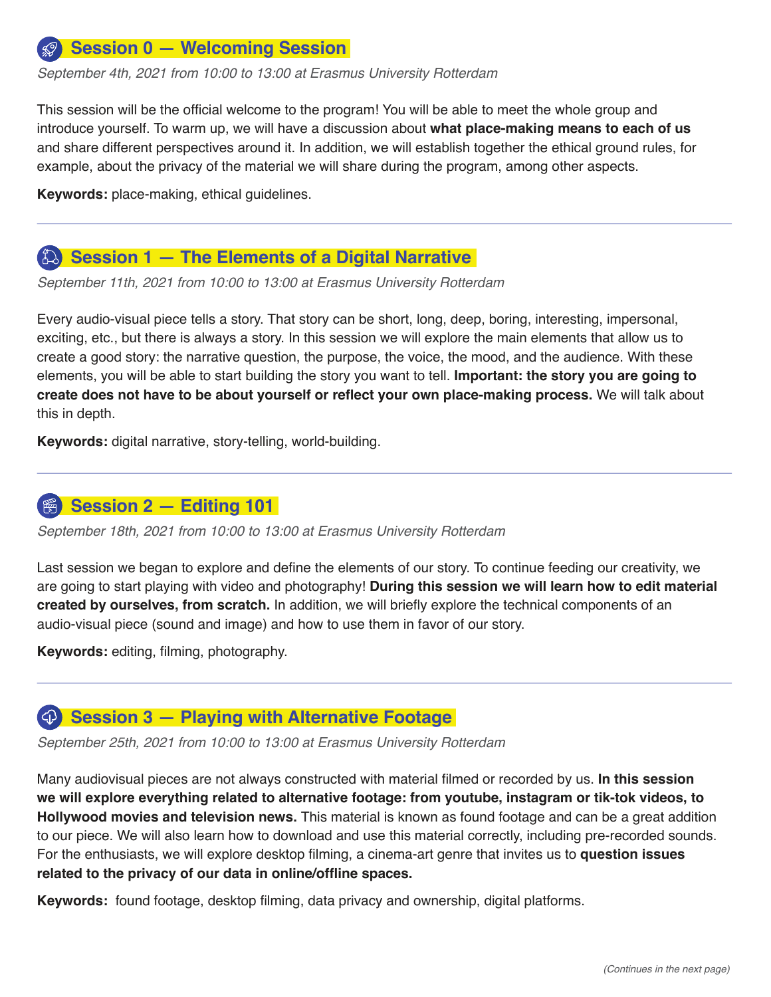#### **Session 0 — Welcoming Session**

*September 4th, 2021 from 10:00 to 13:00 at Erasmus University Rotterdam*

This session will be the official welcome to the program! You will be able to meet the whole group and introduce yourself. To warm up, we will have a discussion about **what place-making means to each of us** and share different perspectives around it. In addition, we will establish together the ethical ground rules, for example, about the privacy of the material we will share during the program, among other aspects.

**Keywords:** place-making, ethical guidelines.

# **Session 1 — The Elements of a Digital Narrative**

*September 11th, 2021 from 10:00 to 13:00 at Erasmus University Rotterdam*

Every audio-visual piece tells a story. That story can be short, long, deep, boring, interesting, impersonal, exciting, etc., but there is always a story. In this session we will explore the main elements that allow us to create a good story: the narrative question, the purpose, the voice, the mood, and the audience. With these elements, you will be able to start building the story you want to tell. **Important: the story you are going to create does not have to be about yourself or reflect your own place-making process.** We will talk about this in depth.

**Keywords:** digital narrative, story-telling, world-building.

#### **Session 2 — Editing 101**

*September 18th, 2021 from 10:00 to 13:00 at Erasmus University Rotterdam*

Last session we began to explore and define the elements of our story. To continue feeding our creativity, we are going to start playing with video and photography! **During this session we will learn how to edit material created by ourselves, from scratch.** In addition, we will briefly explore the technical components of an audio-visual piece (sound and image) and how to use them in favor of our story.

**Keywords:** editing, filming, photography.

#### **Session 3 — Playing with Alternative Footage** $\left( \bigoplus \right)$

*September 25th, 2021 from 10:00 to 13:00 at Erasmus University Rotterdam*

Many audiovisual pieces are not always constructed with material filmed or recorded by us. **In this session we will explore everything related to alternative footage: from youtube, instagram or tik-tok videos, to Hollywood movies and television news.** This material is known as found footage and can be a great addition to our piece. We will also learn how to download and use this material correctly, including pre-recorded sounds. For the enthusiasts, we will explore desktop filming, a cinema-art genre that invites us to **question issues related to the privacy of our data in online/offline spaces.**

**Keywords:** found footage, desktop filming, data privacy and ownership, digital platforms.